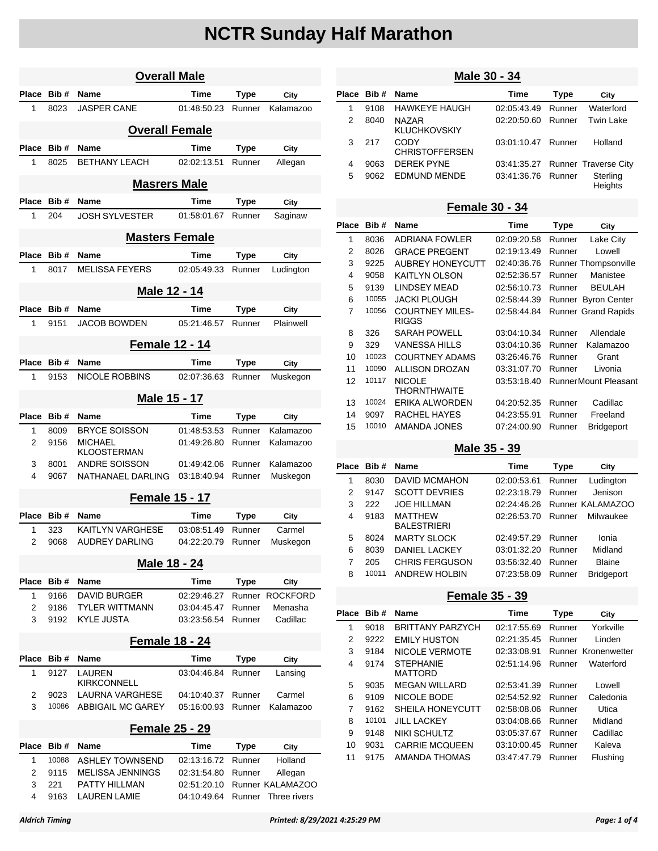| <b>Overall Male</b> |                       |                                          |                            |                  |                             |  |  |  |
|---------------------|-----------------------|------------------------------------------|----------------------------|------------------|-----------------------------|--|--|--|
| Place               | Bib#                  | Name                                     | Time                       | Type             | City                        |  |  |  |
| 1                   | 8023                  | <b>JASPER CANE</b>                       | 01:48:50.23                | Runner           | Kalamazoo                   |  |  |  |
|                     |                       | <b>Overall Female</b>                    |                            |                  |                             |  |  |  |
| <b>Place</b>        | Bib#                  | Name                                     | <b>Time</b>                | <b>Type</b>      | City                        |  |  |  |
| 1                   | 8025                  | <b>BETHANY LEACH</b>                     | 02:02:13.51                | Runner           | Allegan                     |  |  |  |
|                     |                       | <b>Masrers Male</b>                      |                            |                  |                             |  |  |  |
| Place               | Bib#                  | Name                                     | Time                       | Type             | City                        |  |  |  |
| 1                   | 204                   | <b>JOSH SYLVESTER</b>                    | 01:58:01.67                | Runner           | Saginaw                     |  |  |  |
|                     |                       | <b>Masters Female</b>                    |                            |                  |                             |  |  |  |
| <b>Place</b>        | Bib#                  | Name                                     | Time                       | Type             | City                        |  |  |  |
| 1                   | 8017                  | <b>MELISSA FEYERS</b>                    | 02:05:49.33                | Runner           | Ludington                   |  |  |  |
|                     |                       | Male 12 - 14                             |                            |                  |                             |  |  |  |
| Place               | Bib#                  | Name                                     | Time                       | <b>Type</b>      | City                        |  |  |  |
| 1                   | 9151                  | <b>JACOB BOWDEN</b>                      | 05:21:46.57                | Runner           | Plainwell                   |  |  |  |
|                     |                       | <b>Female 12 - 14</b>                    |                            |                  |                             |  |  |  |
| Place               | Bib#                  | Name                                     | Time                       | Type             | City                        |  |  |  |
| 1                   | 9153                  | <b>NICOLE ROBBINS</b>                    | 02:07:36.63                | Runner           | Muskegon                    |  |  |  |
|                     |                       | Male 15 - 17                             |                            |                  |                             |  |  |  |
| Place               | Bib#                  | Name                                     | Time                       | Type             | City                        |  |  |  |
| 1                   | 8009                  | <b>BRYCE SOISSON</b>                     | 01:48:53.53                | Runner           | Kalamazoo                   |  |  |  |
| 2                   | 9156                  | MICHAEL<br>KLOOSTERMAN                   | 01:49:26.80                | Runner           | Kalamazoo                   |  |  |  |
| 3                   | 8001                  | <b>ANDRE SOISSON</b>                     | 01:49:42.06                | Runner           | Kalamazoo                   |  |  |  |
| 4                   | 9067                  | NATHANAEL DARLING                        | 03:18:40.94                | Runner           | Muskegon                    |  |  |  |
|                     |                       | <b>Female 15 - 17</b>                    |                            |                  |                             |  |  |  |
| Place               | Bib#                  | Name                                     | <b>Time</b>                | Type             | City                        |  |  |  |
| 1<br>2              | 323<br>9068           | KAITLYN VARGHESE<br>AUDREY DARLING       | 03:08:51.49<br>04:22:20.79 | Runner<br>Runner | Carmel<br>Muskegon          |  |  |  |
|                     |                       |                                          |                            |                  |                             |  |  |  |
|                     |                       | <u>Male 18 - 24</u>                      |                            |                  |                             |  |  |  |
| Place               | Bib#                  | Name                                     | Time                       | <b>Type</b>      | City                        |  |  |  |
| 1                   | 9166                  | <b>DAVID BURGER</b>                      | 02:29:46.27                |                  | Runner ROCKFORD             |  |  |  |
| 2                   | 9186                  | <b>TYLER WITTMANN</b>                    | 03:04:45.47                | Runner           | Menasha<br>Cadillac         |  |  |  |
| 3                   | 9192                  | KYLE JUSTA                               | 03:23:56.54                | Runner           |                             |  |  |  |
|                     | <b>Female 18 - 24</b> |                                          |                            |                  |                             |  |  |  |
| Place               | Bib#                  | Name                                     | Time                       | <b>Type</b>      | City                        |  |  |  |
| 1                   | 9127                  | LAUREN<br>KIRKCONNELL                    | 03:04:46.84                | Runner           | Lansing                     |  |  |  |
| 2                   | 9023                  | LAURNA VARGHESE                          | 04:10:40.37                | Runner           | Carmel                      |  |  |  |
| 3                   | 10086                 | <b>ABBIGAIL MC GAREY</b>                 | 05:16:00.93                | Runner           | Kalamazoo                   |  |  |  |
|                     | <b>Female 25 - 29</b> |                                          |                            |                  |                             |  |  |  |
| Place               | Bib#                  | Name                                     | Time                       | <b>Type</b>      | City                        |  |  |  |
| 1                   | 10088                 | <b>ASHLEY TOWNSEND</b>                   | 02:13:16.72                | Runner           | Holland                     |  |  |  |
| 2<br>3              | 9115<br>221           | <b>MELISSA JENNINGS</b><br>PATTY HILLMAN | 02:31:54.80<br>02:51:20.10 | Runner           | Allegan<br>Runner KALAMAZOO |  |  |  |
| 4                   | 9163                  | <b>LAUREN LAMIE</b>                      | 04:10:49.64                | Runner           | Three rivers                |  |  |  |

### **Male 30 - 34**

|   | Place Bib # | <b>Name</b>                   | Time               | <b>Type</b> | City                             |
|---|-------------|-------------------------------|--------------------|-------------|----------------------------------|
| 1 | 9108        | <b>HAWKEYE HAUGH</b>          | 02:05:43.49        | Runner      | Waterford                        |
| 2 | 8040        | NA7AR<br><b>KLUCHKOVSKIY</b>  | 02:20:50.60        | Runner      | Twin Lake                        |
| 3 | 217         | CODY<br><b>CHRISTOFFERSEN</b> | 03:01:10.47        | Runner      | Holland                          |
| 4 | 9063        | <b>DEREK PYNE</b>             |                    |             | 03:41:35.27 Runner Traverse City |
| 5 | 9062        | EDMUND MENDE                  | 03:41:36.76 Runner |             | Sterling<br><b>Heights</b>       |

#### **Female 30 - 34**

| Place | Bib#  | <b>Name</b>                            | Time        | Type   | City                        |
|-------|-------|----------------------------------------|-------------|--------|-----------------------------|
| 1     | 8036  | <b>ADRIANA FOWLER</b>                  | 02:09:20.58 | Runner | Lake City                   |
| 2     | 8026  | <b>GRACE PREGENT</b>                   | 02:19:13.49 | Runner | Lowell                      |
| 3     | 9225  | <b>AUBREY HONEYCUTT</b>                | 02:40:36.76 |        | <b>Runner Thompsonville</b> |
| 4     | 9058  | <b>KAITLYN OLSON</b>                   | 02:52:36.57 | Runner | Manistee                    |
| 5     | 9139  | <b>LINDSEY MEAD</b>                    | 02:56:10.73 | Runner | <b>BEULAH</b>               |
| 6     | 10055 | <b>JACKI PLOUGH</b>                    | 02:58:44.39 |        | Runner Byron Center         |
| 7     | 10056 | <b>COURTNEY MILES-</b><br><b>RIGGS</b> | 02:58:44.84 |        | <b>Runner Grand Rapids</b>  |
| 8     | 326   | SARAH POWELL                           | 03:04:10.34 | Runner | Allendale                   |
| 9     | 329   | VANESSA HILLS                          | 03:04:10.36 | Runner | Kalamazoo                   |
| 10    | 10023 | <b>COURTNEY ADAMS</b>                  | 03:26:46.76 | Runner | Grant                       |
| 11    | 10090 | <b>ALLISON DROZAN</b>                  | 03:31:07.70 | Runner | Livonia                     |
| 12    | 10117 | <b>NICOLE</b><br><b>THORNTHWAITE</b>   | 03:53:18.40 |        | RunnerMount Pleasant        |
| 13    | 10024 | ERIKA ALWORDEN                         | 04:20:52.35 | Runner | Cadillac                    |
| 14    | 9097  | RACHEL HAYES                           | 04:23:55.91 | Runner | Freeland                    |
| 15    | 10010 | AMANDA JONES                           | 07:24:00.90 | Runner | <b>Bridgeport</b>           |

#### **Male 35 - 39**

| Place<br>Bib# | <b>Name</b>           | Time        | Type   | City             |
|---------------|-----------------------|-------------|--------|------------------|
| 8030          | <b>DAVID MCMAHON</b>  | 02:00:53.61 | Runner | Ludington        |
| 9147          | <b>SCOTT DEVRIES</b>  | 02:23:18.79 | Runner | Jenison          |
| 222           | <b>JOE HILLMAN</b>    | 02:24:46.26 |        | Runner KALAMAZOO |
| 9183          | <b>MATTHEW</b>        | 02:26:53.70 | Runner | Milwaukee        |
|               | <b>BALESTRIERI</b>    |             |        |                  |
| 8024          | <b>MARTY SLOCK</b>    | 02:49:57.29 | Runner | Ionia            |
| 8039          | <b>DANIEL LACKEY</b>  | 03:01:32.20 | Runner | Midland          |
| 205           | <b>CHRIS FERGUSON</b> | 03:56:32.40 | Runner | <b>Blaine</b>    |
| 10011         | <b>ANDREW HOLBIN</b>  | 07:23:58.09 | Runner | Bridgeport       |
|               |                       |             |        |                  |

### **Female 35 - 39**

| Place | Bib#  | <b>Name</b>                        | Time        | <b>Type</b> | City                |
|-------|-------|------------------------------------|-------------|-------------|---------------------|
| 1     | 9018  | <b>BRITTANY PARZYCH</b>            | 02:17:55.69 | Runner      | Yorkville           |
| 2     | 9222  | <b>EMILY HUSTON</b>                | 02:21:35.45 | Runner      | Linden              |
| 3     | 9184  | NICOLE VERMOTE                     | 02:33:08.91 |             | Runner Kronenwetter |
| 4     | 9174  | <b>STEPHANIE</b><br><b>MATTORD</b> | 02:51:14.96 | Runner      | Waterford           |
| 5     | 9035  | <b>MEGAN WILLARD</b>               | 02:53:41.39 | Runner      | I owell             |
| 6     | 9109  | NICOLE BODE                        | 02:54:52.92 | Runner      | Caledonia           |
| 7     | 9162  | SHEILA HONEYCUTT                   | 02:58:08.06 | Runner      | Utica               |
| 8     | 10101 | <b>JILL LACKEY</b>                 | 03:04:08.66 | Runner      | Midland             |
| 9     | 9148  | NIKI SCHULTZ                       | 03:05:37.67 | Runner      | Cadillac            |
| 10    | 9031  | <b>CARRIE MCQUEEN</b>              | 03:10:00.45 | Runner      | Kaleva              |
| 11    | 9175  | AMANDA THOMAS                      | 03:47:47.79 | Runner      | Flushing            |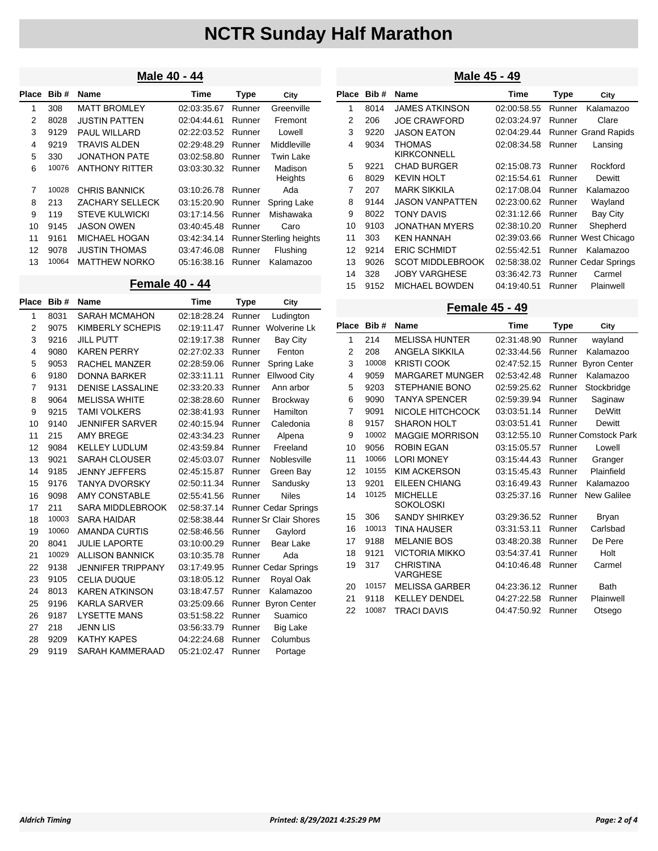### **Male 40 - 44**

| Place | Bib#  | <b>Name</b>           | Time        | <b>Type</b> | City                           |
|-------|-------|-----------------------|-------------|-------------|--------------------------------|
| 1     | 308   | <b>MATT BROMLEY</b>   | 02:03:35.67 | Runner      | Greenville                     |
| 2     | 8028  | <b>JUSTIN PATTEN</b>  | 02:04:44.61 | Runner      | Fremont                        |
| 3     | 9129  | <b>PAUL WILLARD</b>   | 02:22:03.52 | Runner      | Lowell                         |
| 4     | 9219  | <b>TRAVIS ALDEN</b>   | 02:29:48.29 | Runner      | Middleville                    |
| 5     | 330   | <b>JONATHON PATE</b>  | 03:02:58.80 | Runner      | Twin Lake                      |
| 6     | 10076 | <b>ANTHONY RITTER</b> | 03:03:30.32 | Runner      | Madison<br>Heights             |
| 7     | 10028 | CHRIS BANNICK         | 03:10:26.78 | Runner      | Ada                            |
| 8     | 213   | ZACHARY SELLECK       | 03:15:20.90 | Runner      | Spring Lake                    |
| 9     | 119   | <b>STEVE KULWICKI</b> | 03:17:14.56 | Runner      | Mishawaka                      |
| 10    | 9145  | <b>JASON OWEN</b>     | 03:40:45.48 | Runner      | Caro                           |
| 11    | 9161  | MICHAEL HOGAN         | 03:42:34.14 |             | <b>Runner Sterling heights</b> |
| 12    | 9078  | <b>JUSTIN THOMAS</b>  | 03:47:46.08 | Runner      | Flushing                       |
| 13    | 10064 | <b>MATTHEW NORKO</b>  | 05:16:38.16 | Runner      | Kalamazoo                      |

#### **Female 40 - 44**

| Place | Bib#  | Name                     | <b>Time</b> | Type   | City                          |
|-------|-------|--------------------------|-------------|--------|-------------------------------|
| 1     | 8031  | <b>SARAH MCMAHON</b>     | 02:18:28.24 | Runner | Ludington                     |
| 2     | 9075  | KIMBERLY SCHEPIS         | 02:19:11.47 |        | Runner Wolverine Lk           |
| 3     | 9216  | <b>JILL PUTT</b>         | 02:19:17.38 | Runner | <b>Bay City</b>               |
| 4     | 9080  | <b>KAREN PERRY</b>       | 02:27:02.33 | Runner | Fenton                        |
| 5     | 9053  | <b>RACHEL MANZER</b>     | 02:28:59.06 | Runner | <b>Spring Lake</b>            |
| 6     | 9180  | <b>DONNA BARKER</b>      | 02:33:11.11 | Runner | <b>Ellwood City</b>           |
| 7     | 9131  | <b>DENISE LASSALINE</b>  | 02:33:20.33 | Runner | Ann arbor                     |
| 8     | 9064  | <b>MELISSA WHITE</b>     | 02:38:28.60 | Runner | <b>Brockway</b>               |
| 9     | 9215  | <b>TAMI VOLKERS</b>      | 02:38:41.93 | Runner | Hamilton                      |
| 10    | 9140  | <b>JENNIFER SARVER</b>   | 02:40:15.94 | Runner | Caledonia                     |
| 11    | 215   | <b>AMY BREGE</b>         | 02:43:34.23 | Runner | Alpena                        |
| 12    | 9084  | <b>KELLEY LUDLUM</b>     | 02:43:59.84 | Runner | Freeland                      |
| 13    | 9021  | <b>SARAH CLOUSER</b>     | 02:45:03.07 | Runner | Noblesville                   |
| 14    | 9185  | <b>JENNY JEFFERS</b>     | 02:45:15.87 | Runner | Green Bay                     |
| 15    | 9176  | <b>TANYA DVORSKY</b>     | 02:50:11.34 | Runner | Sandusky                      |
| 16    | 9098  | <b>AMY CONSTABLE</b>     | 02:55:41.56 | Runner | <b>Niles</b>                  |
| 17    | 211   | <b>SARA MIDDLEBROOK</b>  | 02:58:37.14 |        | <b>Runner Cedar Springs</b>   |
| 18    | 10003 | <b>SARA HAIDAR</b>       | 02:58:38.44 |        | <b>Runner Sr Clair Shores</b> |
| 19    | 10060 | <b>AMANDA CURTIS</b>     | 02:58:46.56 | Runner | Gaylord                       |
| 20    | 8041  | <b>JULIE LAPORTE</b>     | 03:10:00.29 | Runner | Bear Lake                     |
| 21    | 10029 | <b>ALLISON BANNICK</b>   | 03:10:35.78 | Runner | Ada                           |
| 22    | 9138  | <b>JENNIFER TRIPPANY</b> | 03:17:49.95 |        | Runner Cedar Springs          |
| 23    | 9105  | <b>CELIA DUQUE</b>       | 03:18:05.12 | Runner | Royal Oak                     |
| 24    | 8013  | <b>KAREN ATKINSON</b>    | 03:18:47.57 | Runner | Kalamazoo                     |
| 25    | 9196  | <b>KARLA SARVER</b>      | 03:25:09.66 |        | Runner Byron Center           |
| 26    | 9187  | <b>LYSETTE MANS</b>      | 03:51:58.22 | Runner | Suamico                       |
| 27    | 218   | <b>JENN LIS</b>          | 03:56:33.79 | Runner | Big Lake                      |
| 28    | 9209  | <b>KATHY KAPES</b>       | 04:22:24.68 | Runner | Columbus                      |
| 29    | 9119  | <b>SARAH KAMMERAAD</b>   | 05:21:02.47 | Runner | Portage                       |

### **Male 45 - 49**

| Place | Bib# | <b>Name</b>                  | Time        | Type   | City                        |
|-------|------|------------------------------|-------------|--------|-----------------------------|
| 1     | 8014 | <b>JAMES ATKINSON</b>        | 02:00:58.55 | Runner | Kalamazoo                   |
| 2     | 206  | <b>JOE CRAWFORD</b>          | 02:03:24.97 | Runner | Clare                       |
| 3     | 9220 | <b>JASON EATON</b>           | 02:04:29.44 |        | <b>Runner Grand Rapids</b>  |
| 4     | 9034 | THOMAS<br><b>KIRKCONNELL</b> | 02:08:34.58 | Runner | Lansing                     |
| 5     | 9221 | <b>CHAD BURGER</b>           | 02:15:08.73 | Runner | Rockford                    |
| 6     | 8029 | <b>KEVIN HOLT</b>            | 02:15:54.61 | Runner | Dewitt                      |
| 7     | 207  | <b>MARK SIKKII A</b>         | 02:17:08.04 | Runner | Kalamazoo                   |
| 8     | 9144 | JASON VANPATTEN              | 02:23:00.62 | Runner | Wayland                     |
| 9     | 8022 | <b>TONY DAVIS</b>            | 02:31:12.66 | Runner | Bay City                    |
| 10    | 9103 | <b>JONATHAN MYERS</b>        | 02:38:10.20 | Runner | Shepherd                    |
| 11    | 303  | <b>KFN HANNAH</b>            | 02:39:03.66 |        | Runner West Chicago         |
| 12    | 9214 | <b>ERIC SCHMIDT</b>          | 02:55:42.51 | Runner | Kalamazoo                   |
| 13    | 9026 | <b>SCOT MIDDLEBROOK</b>      | 02:58:38.02 |        | <b>Runner Cedar Springs</b> |
| 14    | 328  | <b>JOBY VARGHESE</b>         | 03:36:42.73 | Runner | Carmel                      |
| 15    | 9152 | <b>MICHAEL BOWDEN</b>        | 04:19:40.51 | Runner | Plainwell                   |

### **Female 45 - 49**

| Place | Bib#  | <b>Name</b>                         | Time        | <b>Type</b> | City                        |
|-------|-------|-------------------------------------|-------------|-------------|-----------------------------|
| 1     | 214   | <b>MELISSA HUNTER</b>               | 02:31:48.90 | Runner      | wayland                     |
| 2     | 208   | <b>ANGELA SIKKILA</b>               | 02:33:44.56 | Runner      | Kalamazoo                   |
| 3     | 10008 | <b>KRISTI COOK</b>                  | 02:47:52.15 | Runner      | <b>Byron Center</b>         |
| 4     | 9059  | <b>MARGARET MUNGER</b>              | 02:53:42.48 | Runner      | Kalamazoo                   |
| 5     | 9203  | STEPHANIE BONO                      | 02:59:25.62 | Runner      | Stockbridge                 |
| 6     | 9090  | <b>TANYA SPENCER</b>                | 02:59:39.94 | Runner      | Saginaw                     |
| 7     | 9091  | NICOLE HITCHCOCK                    | 03:03:51.14 | Runner      | <b>DeWitt</b>               |
| 8     | 9157  | <b>SHARON HOLT</b>                  | 03:03:51.41 | Runner      | Dewitt                      |
| 9     | 10002 | <b>MAGGIE MORRISON</b>              | 03:12:55.10 |             | <b>Runner Comstock Park</b> |
| 10    | 9056  | <b>ROBIN EGAN</b>                   | 03:15:05.57 | Runner      | Lowell                      |
| 11    | 10066 | <b>LORI MONEY</b>                   | 03:15:44.43 | Runner      | Granger                     |
| 12    | 10155 | <b>KIM ACKERSON</b>                 | 03:15:45.43 | Runner      | Plainfield                  |
| 13    | 9201  | <b>EILEEN CHIANG</b>                | 03:16:49.43 | Runner      | Kalamazoo                   |
| 14    | 10125 | <b>MICHELLE</b><br><b>SOKOLOSKI</b> | 03:25:37.16 | Runner      | New Galilee                 |
| 15    | 306   | <b>SANDY SHIRKEY</b>                | 03:29:36.52 | Runner      | Bryan                       |
| 16    | 10013 | <b>TINA HAUSER</b>                  | 03:31:53.11 | Runner      | Carlsbad                    |
| 17    | 9188  | <b>MELANIE BOS</b>                  | 03:48:20.38 | Runner      | De Pere                     |
| 18    | 9121  | <b>VICTORIA MIKKO</b>               | 03:54:37.41 | Runner      | Holt                        |
| 19    | 317   | <b>CHRISTINA</b><br><b>VARGHESE</b> | 04:10:46.48 | Runner      | Carmel                      |
| 20    | 10157 | <b>MELISSA GARBER</b>               | 04:23:36.12 | Runner      | <b>Bath</b>                 |
| 21    | 9118  | <b>KELLEY DENDEL</b>                | 04:27:22.58 | Runner      | Plainwell                   |
| 22    | 10087 | <b>TRACI DAVIS</b>                  | 04:47:50.92 | Runner      | Otsego                      |
|       |       |                                     |             |             |                             |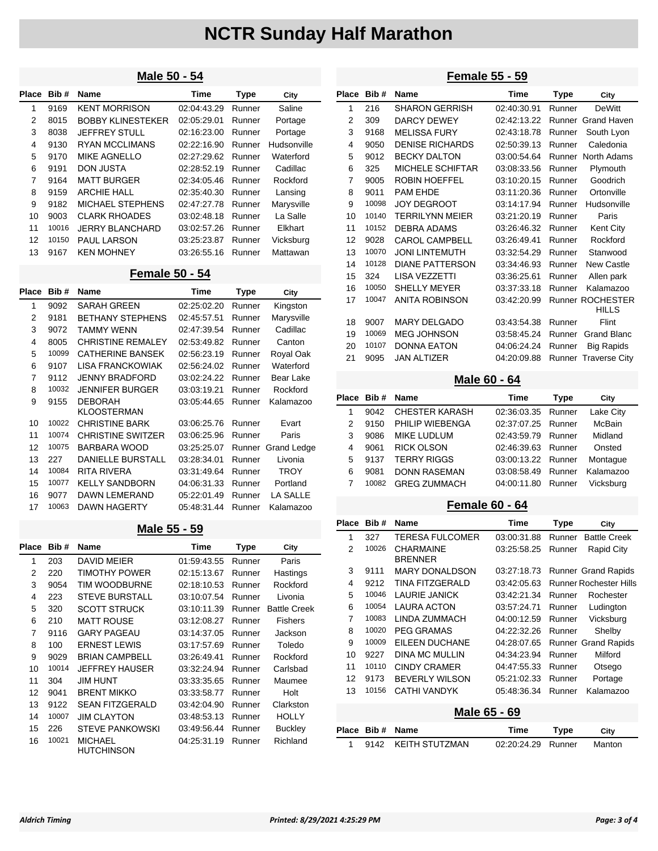#### **Male 50 - 54**

| Place | Bib#  | <b>Name</b>              | Time        | <b>Type</b> | City        |
|-------|-------|--------------------------|-------------|-------------|-------------|
| 1     | 9169  | <b>KENT MORRISON</b>     | 02:04:43.29 | Runner      | Saline      |
| 2     | 8015  | <b>BOBBY KLINESTEKER</b> | 02:05:29.01 | Runner      | Portage     |
| 3     | 8038  | <b>JEFFREY STULL</b>     | 02:16:23.00 | Runner      | Portage     |
| 4     | 9130  | <b>RYAN MCCLIMANS</b>    | 02:22:16.90 | Runner      | Hudsonville |
| 5     | 9170  | <b>MIKE AGNELLO</b>      | 02:27:29.62 | Runner      | Waterford   |
| 6     | 9191  | <b>DON JUSTA</b>         | 02:28:52.19 | Runner      | Cadillac    |
| 7     | 9164  | <b>MATT BURGER</b>       | 02:34:05.46 | Runner      | Rockford    |
| 8     | 9159  | ARCHIF HALL              | 02:35:40.30 | Runner      | Lansing     |
| 9     | 9182  | <b>MICHAEL STEPHENS</b>  | 02:47:27.78 | Runner      | Marysville  |
| 10    | 9003  | <b>CLARK RHOADES</b>     | 03:02:48.18 | Runner      | La Salle    |
| 11    | 10016 | JERRY BI ANCHARD         | 03:02:57.26 | Runner      | Elkhart     |
| 12    | 10150 | <b>PAUL LARSON</b>       | 03:25:23.87 | Runner      | Vicksburg   |
| 13    | 9167  | <b>KEN MOHNEY</b>        | 03:26:55.16 | Runner      | Mattawan    |

## **Female 50 - 54**

| <b>Place</b> | Bib#  | <b>Name</b>                          | <b>Time</b> | Type   | City            |
|--------------|-------|--------------------------------------|-------------|--------|-----------------|
| 1            | 9092  | <b>SARAH GREEN</b>                   | 02:25:02.20 | Runner | Kingston        |
| 2            | 9181  | <b>BETHANY STEPHENS</b>              | 02:45:57.51 | Runner | Marysville      |
| 3            | 9072  | <b>TAMMY WFNN</b>                    | 02:47:39.54 | Runner | Cadillac        |
| 4            | 8005  | <b>CHRISTINE REMALEY</b>             | 02:53:49.82 | Runner | Canton          |
| 5            | 10099 | <b>CATHERINE BANSEK</b>              | 02:56:23.19 | Runner | Royal Oak       |
| 6            | 9107  | LISA FRANCKOWIAK                     | 02:56:24.02 | Runner | Waterford       |
| 7            | 9112  | JENNY BRADEORD                       | 03:02:24.22 | Runner | Bear Lake       |
| 8            | 10032 | <b>JENNIFER BURGER</b>               | 03:03:19.21 | Runner | Rockford        |
| 9            | 9155  | <b>DEBORAH</b><br><b>KLOOSTERMAN</b> | 03:05:44.65 | Runner | Kalamazoo       |
| 10           | 10022 | <b>CHRISTINE BARK</b>                | 03:06:25.76 | Runner | Evart           |
| 11           | 10074 | <b>CHRISTINE SWITZER</b>             | 03:06:25.96 | Runner | Paris           |
| 12           | 10075 | BARBARA WOOD                         | 03:25:25.07 | Runner | Grand Ledge     |
| 13           | 227   | <b>DANIELLE BURSTALL</b>             | 03:28:34.01 | Runner | Livonia         |
| 14           | 10084 | <b>RITA RIVERA</b>                   | 03:31:49.64 | Runner | TROY            |
| 15           | 10077 | <b>KELLY SANDBORN</b>                | 04:06:31.33 | Runner | Portland        |
| 16           | 9077  | DAWN LEMERAND                        | 05:22:01.49 | Runner | <b>LA SALLE</b> |
| 17           | 10063 | <b>DAWN HAGERTY</b>                  | 05:48:31.44 | Runner | Kalamazoo       |

#### **Male 55 - 59**

| Place | Bib#  | <b>Name</b>                         | Time        | Type   | City                |
|-------|-------|-------------------------------------|-------------|--------|---------------------|
| 1     | 203   | <b>DAVID MEIER</b>                  | 01:59:43.55 | Runner | Paris               |
| 2     | 220   | TIMOTHY POWER                       | 02:15:13.67 | Runner | Hastings            |
| 3     | 9054  | TIM WOODBURNE                       | 02:18:10.53 | Runner | Rockford            |
| 4     | 223   | <b>STEVE BURSTALL</b>               | 03:10:07.54 | Runner | Livonia             |
| 5     | 320   | <b>SCOTT STRUCK</b>                 | 03:10:11.39 | Runner | <b>Battle Creek</b> |
| 6     | 210   | <b>MATT ROUSE</b>                   | 03:12:08.27 | Runner | <b>Fishers</b>      |
| 7     | 9116  | <b>GARY PAGEAU</b>                  | 03:14:37.05 | Runner | Jackson             |
| 8     | 100   | <b>ERNEST LEWIS</b>                 | 03:17:57.69 | Runner | Toledo              |
| 9     | 9029  | <b>BRIAN CAMPBELL</b>               | 03:26:49.41 | Runner | Rockford            |
| 10    | 10014 | <b>JEFFREY HAUSER</b>               | 03:32:24.94 | Runner | Carlsbad            |
| 11    | 304   | <b>JIM HUNT</b>                     | 03:33:35.65 | Runner | Maumee              |
| 12    | 9041  | <b>BRENT MIKKO</b>                  | 03:33:58.77 | Runner | Holt                |
| 13    | 9122  | <b>SEAN FITZGERALD</b>              | 03:42:04.90 | Runner | Clarkston           |
| 14    | 10007 | <b>JIM CLAYTON</b>                  | 03:48:53.13 | Runner | <b>HOLLY</b>        |
| 15    | 226   | <b>STEVE PANKOWSKI</b>              | 03:49:56.44 | Runner | <b>Buckley</b>      |
| 16    | 10021 | <b>MICHAEL</b><br><b>HUTCHINSON</b> | 04:25:31.19 | Runner | Richland            |

## **Female 55 - 59**

| Place | Bib#  | <b>Name</b>             | <b>Time</b> | Type   | City                                    |
|-------|-------|-------------------------|-------------|--------|-----------------------------------------|
| 1     | 216   | <b>SHARON GERRISH</b>   | 02:40:30.91 | Runner | <b>DeWitt</b>                           |
| 2     | 309   | <b>DARCY DEWEY</b>      | 02:42:13.22 | Runner | Grand Haven                             |
| 3     | 9168  | <b>MELISSA FURY</b>     | 02:43:18.78 | Runner | South Lyon                              |
| 4     | 9050  | <b>DENISE RICHARDS</b>  | 02:50:39.13 | Runner | Caledonia                               |
| 5     | 9012  | <b>BECKY DALTON</b>     | 03:00:54.64 | Runner | North Adams                             |
| 6     | 325   | <b>MICHELE SCHIFTAR</b> | 03:08:33.56 | Runner | Plymouth                                |
| 7     | 9005  | <b>ROBIN HOEFFEL</b>    | 03:10:20.15 | Runner | Goodrich                                |
| 8     | 9011  | <b>PAM EHDE</b>         | 03:11:20.36 | Runner | Ortonville                              |
| 9     | 10098 | <b>JOY DEGROOT</b>      | 03:14:17.94 | Runner | Hudsonville                             |
| 10    | 10140 | <b>TERRILYNN MEIER</b>  | 03:21:20.19 | Runner | Paris                                   |
| 11    | 10152 | DEBRA ADAMS             | 03:26:46.32 | Runner | Kent City                               |
| 12    | 9028  | <b>CAROL CAMPBELL</b>   | 03:26:49.41 | Runner | Rockford                                |
| 13    | 10070 | <b>JONI LINTEMUTH</b>   | 03:32:54.29 | Runner | Stanwood                                |
| 14    | 10128 | <b>DIANE PATTERSON</b>  | 03:34:46.93 | Runner | <b>New Castle</b>                       |
| 15    | 324   | <b>LISA VEZZETTI</b>    | 03:36:25.61 | Runner | Allen park                              |
| 16    | 10050 | <b>SHELLY MEYER</b>     | 03:37:33.18 | Runner | Kalamazoo                               |
| 17    | 10047 | ANITA ROBINSON          | 03:42:20.99 |        | <b>Runner ROCHESTER</b><br><b>HILLS</b> |
| 18    | 9007  | <b>MARY DELGADO</b>     | 03:43:54.38 | Runner | Flint                                   |
| 19    | 10069 | <b>MEG JOHNSON</b>      | 03:58:45.24 | Runner | Grand Blanc                             |
| 20    | 10107 | <b>DONNA EATON</b>      | 04:06:24.24 | Runner | <b>Big Rapids</b>                       |
| 21    | 9095  | <b>JAN ALTIZER</b>      | 04:20:09.88 |        | <b>Runner Traverse City</b>             |
|       |       |                         |             |        |                                         |

### **Male 60 - 64**

|   | Place Bib# Name |                       | Time               | Type   | City          |  |
|---|-----------------|-----------------------|--------------------|--------|---------------|--|
|   | 9042            | <b>CHESTER KARASH</b> | 02:36:03.35 Runner |        | Lake City     |  |
| 2 | 9150            | PHILIP WIEBENGA       | 02:37:07.25 Runner |        | <b>McBain</b> |  |
| 3 | 9086            | MIKE LUDLUM           | 02:43:59.79        | Runner | Midland       |  |
| 4 | 9061            | <b>RICK OLSON</b>     | 02:46:39.63 Runner |        | Onsted        |  |
| 5 | 9137            | <b>TERRY RIGGS</b>    | 03:00:13.22 Runner |        | Montaque      |  |
| 6 | 9081            | <b>DONN RASEMAN</b>   | 03:08:58.49        | Runner | Kalamazoo     |  |
|   | 10082           | <b>GREG ZUMMACH</b>   | 04:00:11.80        | Runner | Vicksburg     |  |
|   |                 |                       |                    |        |               |  |

## **Female 60 - 64**

| <b>Place</b>   | Bib#  | Name                        | <b>Time</b> | <b>Type</b> | City                          |
|----------------|-------|-----------------------------|-------------|-------------|-------------------------------|
| 1              | 327   | <b>TERESA FULCOMER</b>      | 03:00:31.88 | Runner      | <b>Battle Creek</b>           |
| 2              | 10026 | CHARMAINF<br><b>BRENNER</b> | 03:25:58.25 | Runner      | Rapid City                    |
| 3              | 9111  | <b>MARY DONALDSON</b>       | 03:27:18.73 |             | <b>Runner Grand Rapids</b>    |
| 4              | 9212  | <b>TINA FITZGERALD</b>      | 03:42:05.63 |             | <b>Runner Rochester Hills</b> |
| 5              | 10046 | <b>LAURIE JANICK</b>        | 03:42:21.34 | Runner      | Rochester                     |
| 6              | 10054 | <b>LAURA ACTON</b>          | 03:57:24.71 | Runner      | Ludington                     |
| $\overline{7}$ | 10083 | LINDA ZUMMACH               | 04:00:12.59 | Runner      | Vicksburg                     |
| 8              | 10020 | <b>PEG GRAMAS</b>           | 04:22:32.26 | Runner      | Shelby                        |
| 9              | 10009 | EILEEN DUCHANE              | 04:28:07.65 |             | <b>Runner Grand Rapids</b>    |
| 10             | 9227  | <b>DINA MC MULLIN</b>       | 04:34:23.94 | Runner      | Milford                       |
| 11             | 10110 | <b>CINDY CRAMER</b>         | 04:47:55.33 | Runner      | Otsego                        |
| 12             | 9173  | <b>BEVERLY WILSON</b>       | 05:21:02.33 | Runner      | Portage                       |
| 13             | 10156 | CATHI VANDYK                | 05:48:36.34 | Runner      | Kalamazoo                     |
| Male 65 - 69   |       |                             |             |             |                               |
| <b>Place</b>   | Bib#  | Name                        | Time        | <b>Type</b> | City                          |
| 1              | 9142  | <b>KEITH STUTZMAN</b>       | 02:20:24.29 | Runner      | Manton                        |